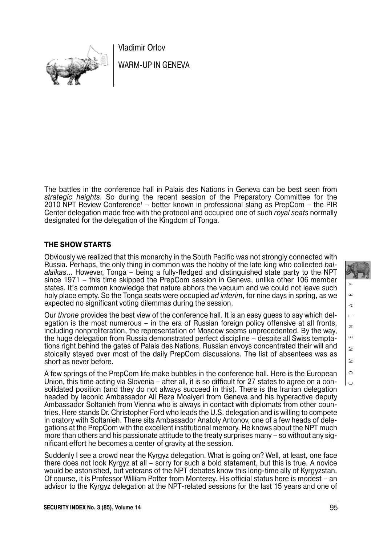

Vladimir Orlov WARM-UP IN GENEVA

The battles in the conference hall in Palais des Nations in Geneva can be best seen from strategic heights. So during the recent session of the Preparatory Committee for the 2010 NPT Review Conference<sup>1</sup> – better known in professional slang as PrepCom – the PIR Center delegation made free with the protocol and occupied one of such royal seats normally designated for the delegation of the Kingdom of Tonga.

# **THE SHOW STARTS**

Obviously we realized that this monarchy in the South Pacific was not strongly connected with Russia. Perhaps, the only thing in common was the hobby of the late king who collected balalaikas... However, Tonga – being a fully-fledged and distinguished state party to the NPT since 1971 – this time skipped the PrepCom session in Geneva, unlike other 106 member states. It's common knowledge that nature abhors the vacuum and we could not leave such holy place empty. So the Tonga seats were occupied *ad interim*, for nine days in spring, as we expected no significant voting dilemmas during the session.

Our throne provides the best view of the conference hall. It is an easy guess to say which del egation is the most numerous – in the era of Russian foreign policy offensive at all fronts, including nonproliferation, the representation of Moscow seems unprecedented. By the way, the huge delegation from Russia demonstrated perfect discipline – despite all Swiss tempta tions right behind the gates of Palais des Nations, Russian envoys concentrated their will and stoically stayed over most of the daily PrepCom discussions. The list of absentees was as short as never before.

A few springs of the PrepCom life make bubbles in the conference hall. Here is the European Union, this time acting via Slovenia – after all, it is so difficult for 27 states to agree on a con solidated position (and they do not always succeed in this). There is the Iranian delegation headed by laconic Ambassador Ali Reza Moaiyeri from Geneva and his hyperactive deputy Ambassador Soltanieh from Vienna who is always in contact with diplomats from other coun tries. Here stands Dr. Christopher Ford who leads the U.S. delegation and is willing to compete in oratory with Soltanieh. There sits Ambassador Anatoly Antonov, one of a few heads of dele gations at the PrepCom with the excellent institutional memory. He knows about the NPT much more than others and his passionate attitude to the treaty surprises many – so without any sig nificant effort he becomes a center of gravity at the session.

Suddenly I see a crowd near the Kyrgyz delegation. What is going on? Well, at least, one face there does not look Kyrgyz at all – sorry for such a bold statement, but this is true. A novice would be astonished, but veterans of the NPT debates know this long-time ally of Kyrgyzstan. Of course, it is Professor William Potter from Monterey. His official status here is modest – an advisor to the Kyrgyz delegation at the NPT-related sessions for the last 15 years and one of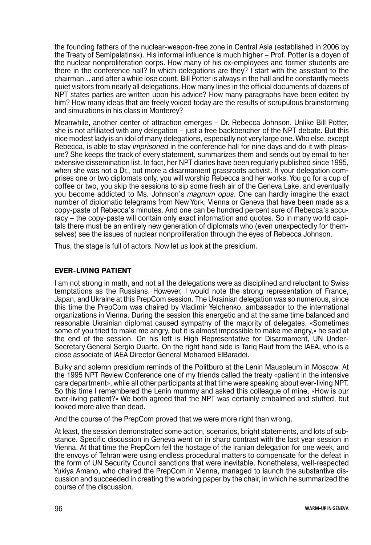the founding fathers of the nuclear-weapon-free zone in Central Asia (established in 2006 by the Treaty of Semipalatinsk). His informal influence is much higher – Prof. Potter is a doyen of the nuclear nonproliferation corps. How many of his ex-employees and former students are there in the conference hall? In which delegations are they? I start with the assistant to the chairman… and after a while lose count. Bill Potter is always in the hall and he constantly meets quiet visitors from nearly all delegations. How many lines in the official documents of dozens of NPT states parties are written upon his advice? How many paragraphs have been edited by him? How many ideas that are freely voiced today are the results of scrupulous brainstorming and simulations in his class in Monterey?

Meanwhile, another center of attraction emerges – Dr. Rebecca Johnson. Unlike Bill Potter, she is not affiliated with any delegation – just a free backbencher of the NPT debate. But this nice modest lady is an idol of many delegations, especially not very large one. Who else, except Rebecca, is able to stay *imprisoned* in the conference hall for nine days and do it with pleas ure? She keeps the track of every statement, summarizes them and sends out by email to her extensive dissemination list. In fact, her NPT diaries have been regularly published since 1995, when she was not a Dr., but more a disarmament grassroots activist. If your delegation comprises one or two diplomats only, you will worship Rebecca and her works. You go for a cup of coffee or two, you skip the sessions to sip some fresh air of the Geneva Lake, and eventually you become addicted to Ms. Johnson's *magnum opus*. One can hardly imagine the exact number of diplomatic telegrams from New York, Vienna or Geneva that have been made as a copy-paste of Rebecca's minutes. And one can be hundred percent sure of Rebecca's accu racy – the copy-paste will contain only exact information and quotes. So in many world capi tals there must be an entirely new generation of diplomats who (even unexpectedly for them selves) see the issues of nuclear nonproliferation through the eyes of Rebecca Johnson.

Thus, the stage is full of actors. Now let us look at the presidium.

### **EVER-LIVING PATIENT**

I am not strong in math, and not all the delegations were as disciplined and reluctant to Swiss temptations as the Russians. However, I would note the strong representation of France, Japan, and Ukraine at this PrepCom session. The Ukrainian delegation was so numerous, since this time the PrepCom was chaired by Vladimir Yelchenko, ambassador to the international organizations in Vienna. During the session this energetic and at the same time balanced and reasonable Ukrainian diplomat caused sympathy of the majority of delegates. «Sometimes some of you tried to make me angry, but it is almost impossible to make me angry,» he said at the end of the session. On his left is High Representative for Disarmament, UN Under- Secretary General Sergio Duarte. On the right hand side is Tariq Rauf from the IAEA, who is a close associate of IAEA Director General Mohamed ElBaradei.

Bulky and solemn presidium reminds of the Politburo at the Lenin Mausoleum in Moscow. At the 1995 NPT Review Conference one of my friends called the treaty «patient in the intensive care department», while all other participants at that time were speaking about ever-living NPT. So this time I remembered the Lenin mummy and asked this colleague of mine, «How is our ever-living patient?» We both agreed that the NPT was certainly embalmed and stuffed, but looked more alive than dead.

And the course of the PrepCom proved that we were more right than wrong.

At least, the session demonstrated some action, scenarios, bright statements, and lots of sub stance. Specific discussion in Geneva went on in sharp contrast with the last year session in Vienna. At that time the PrepCom fell the hostage of the Iranian delegation for one week, and the envoys of Tehran were using endless procedural matters to compensate for the defeat in the form of UN Security Council sanctions that were inevitable. Nonetheless, well-respected Yukiya Amano, who chaired the PrepCom in Vienna, managed to launch the substantive dis cussion and succeeded in creating the working paper by the chair, in which he summarized the course of the discussion.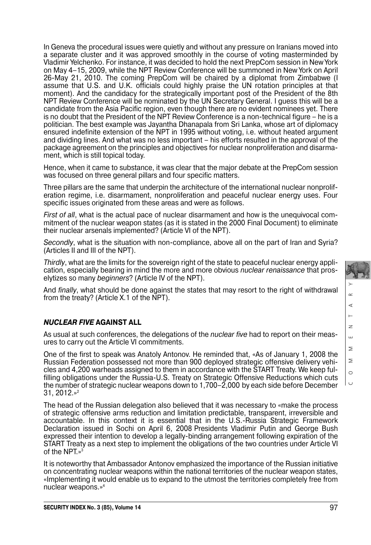In Geneva the procedural issues were quietly and without any pressure on Iranians moved into a separate cluster and it was approved smoothly in the course of voting masterminded by Vladimir Yelchenko. For instance, it was decided to hold the next PrepCom session in New York on May 4–15, 2009, while the NPT Review Conference will be summoned in New York on April 26-May 21, 2010. The coming PrepCom will be chaired by a diplomat from Zimbabwe (I assume that U.S. and U.K. officials could highly praise the UN rotation principles at that moment). And the candidacy for the strategically important post of the President of the 8th NPT Review Conference will be nominated by the UN Secretary General. I guess this will be a candidate from the Asia Pacific region, even though there are no evident nominees yet. There is no doubt that the President of the NPT Review Conference is a non-technical figure – he is a politician. The best example was Jayantha Dhanapala from Sri Lanka, whose art of diplomacy ensured indefinite extension of the NPT in 1995 without voting, i.e. without heated argument and dividing lines. And what was no less important – his efforts resulted in the approval of the package agreement on the principles and objectives for nuclear nonproliferation and disarma ment, which is still topical today.

Hence, when it came to substance, it was clear that the major debate at the PrepCom session was focused on three general pillars and four specific matters.

Three pillars are the same that underpin the architecture of the international nuclear nonprolif eration regime, i.e. disarmament, nonproliferation and peaceful nuclear energy uses. Four specific issues originated from these areas and were as follows.

First of all, what is the actual pace of nuclear disarmament and how is the unequivocal commitment of the nuclear weapon states (as it is stated in the 2000 Final Document) to eliminate their nuclear arsenals implemented? (Article VI of the NPT).

Secondly, what is the situation with non-compliance, above all on the part of Iran and Syria? (Articles II and III of the NPT).

Thirdly, what are the limits for the sovereign right of the state to peaceful nuclear energy appli cation, especially bearing in mind the more and more obvious nuclear renaissance that proselytizes so many beginners? (Article IV of the NPT).

And finally, what should be done against the states that may resort to the right of withdrawal from the treaty? (Article X.1 of the NPT).

# *NUCLEAR FIVE* **AGAINST ALL**

As usual at such conferences, the delegations of the *nuclear five* had to report on their measures to carry out the Article VI commitments.

One of the first to speak was Anatoly Antonov. He reminded that, «As of January 1, 2008 the Russian Federation possessed not more than 900 deployed strategic offensive delivery vehi cles and 4,200 warheads assigned to them in accordance with the START Treaty. We keep ful filling obligations under the Russia-U.S. Treaty on Strategic Offensive Reductions which cuts the number of strategic nuclear weapons down to 1,700–2,000 by each side before December 31, 2012.»2

The head of the Russian delegation also believed that it was necessary to «make the process of strategic offensive arms reduction and limitation predictable, transparent, irreversible and accountable. In this context it is essential that in the U.S.-Russia Strategic Framework Declaration issued in Sochi on April 6, 2008 Presidents Vladimir Putin and George Bush expressed their intention to develop a legally-binding arrangement following expiration of the START Treaty as a next step to implement the obligations of the two countries under Article VI of the NPT.»<sup>3</sup>

It is noteworthy that Ambassador Antonov emphasized the importance of the Russian initiative on concentrating nuclear weapons within the national territories of the nuclear weapon states, «Implementing it would enable us to expand to the utmost the territories completely free from nuclear weapons.»4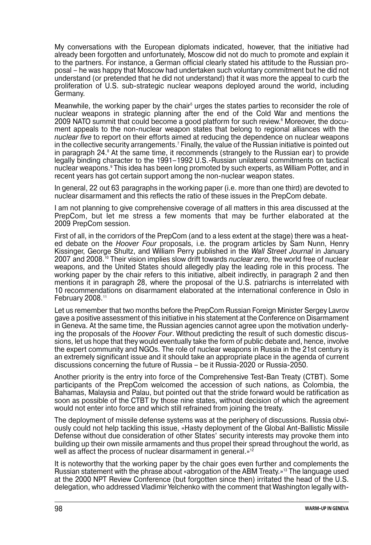My conversations with the European diplomats indicated, however, that the initiative had already been forgotten and unfortunately, Moscow did not do much to promote and explain it to the partners. For instance, a German official clearly stated his attitude to the Russian pro posal – he was happy that Moscow had undertaken such voluntary commitment but he did not understand (or pretended that he did not understand) that it was more the appeal to curb the proliferation of U.S. sub-strategic nuclear weapons deployed around the world, including Germany.

Meanwhile, the working paper by the chair<sup>5</sup> urges the states parties to reconsider the role of nuclear weapons in strategic planning after the end of the Cold War and mentions the 2009 NATO summit that could become a good platform for such review.6 Moreover, the document appeals to the non-nuclear weapon states that belong to regional alliances with the nuclear five to report on their efforts aimed at reducing the dependence on nuclear weapons in the collective security arrangements.7 Finally, the value of the Russian initiative is pointed out in paragraph  $24.8$  At the same time, it recommends (strangely to the Russian ear) to provide legally binding character to the 1991–1992 U.S.-Russian unilateral commitments on tactical nuclear weapons.9 This idea has been long promoted by such experts, as William Potter, and in recent years has got certain support among the non-nuclear weapon states.

In general, 22 out 63 paragraphs in the working paper (i.e. more than one third) are devoted to nuclear disarmament and this reflects the ratio of these issues in the PrepCom debate.

I am not planning to give comprehensive coverage of all matters in this area discussed at the PrepCom, but let me stress a few moments that may be further elaborated at the 2009 PrepCom session.

First of all, in the corridors of the PrepCom (and to a less extent at the stage) there was a heat ed debate on the Hoover Four proposals, i.e. the program articles by Sam Nunn, Henry Kissinger, George Shultz, and William Perry published in the Wall Street Journal in January  $2007$  and  $2008$ <sup>7</sup> Their vision implies slow drift towards *nuclear zero*, the world free of nuclear weapons, and the United States should allegedly play the leading role in this process. The working paper by the chair refers to this initiative, albeit indirectly, in paragraph 2 and then mentions it in paragraph 28, where the proposal of the U.S. patriarchs is interrelated with 10 recommendations on disarmament elaborated at the international conference in Oslo in February 2008.<sup>11</sup>

Let us remember that two months before the PrepCom Russian Foreign Minister Sergey Lavrov gave a positive assessment of this initiative in his statement at the Conference on Disarmament in Geneva. At the same time, the Russian agencies cannot agree upon the motivation underly ing the proposals of the *Hoover Four*. Without predicting the result of such domestic discussions, let us hope that they would eventually take the form of public debate and, hence, involve the expert community and NGOs. The role of nuclear weapons in Russia in the 21st century is an extremely significant issue and it should take an appropriate place in the agenda of current discussions concerning the future of Russia – be it Russia-2020 or Russia-2050.

Another priority is the entry into force of the Comprehensive Test-Ban Treaty (CTBT). Some participants of the PrepCom welcomed the accession of such nations, as Colombia, the Bahamas, Malaysia and Palau, but pointed out that the stride forward would be ratification as soon as possible of the CTBT by those nine states, without decision of which the agreement would not enter into force and which still refrained from joining the treaty.

The deployment of missile defense systems was at the periphery of discussions. Russia obvi ously could not help tackling this issue, «Hasty deployment of the Global Ant-Ballistic Missile Defense without due consideration of other States' security interests may provoke them into building up their own missile armaments and thus propel their spread throughout the world, as well as affect the process of nuclear disarmament in general.»<sup>12</sup>

It is noteworthy that the working paper by the chair goes even further and complements the Russian statement with the phrase about «abrogation of the ABM Treaty.»13 The language used at the 2000 NPT Review Conference (but forgotten since then) irritated the head of the U.S. delegation, who addressed Vladimir Yelchenko with the comment that Washington legally with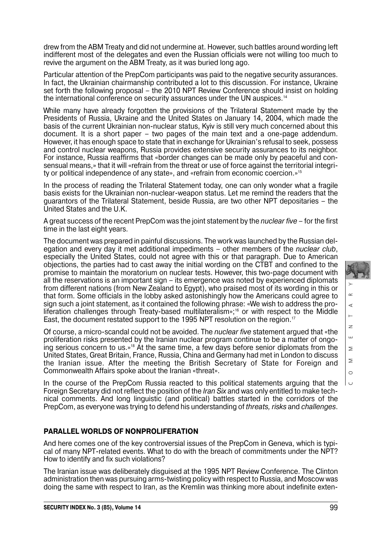drew from the ABM Treaty and did not undermine at. However, such battles around wording left indifferent most of the delegates and even the Russian officials were not willing too much to revive the argument on the ABM Treaty, as it was buried long ago.

Particular attention of the PrepCom participants was paid to the negative security assurances. In fact, the Ukrainian chairmanship contributed a lot to this discussion. For instance, Ukraine set forth the following proposal – the 2010 NPT Review Conference should insist on holding the international conference on security assurances under the UN auspices.<sup>14</sup>

While many have already forgotten the provisions of the Trilateral Statement made by the Presidents of Russia, Ukraine and the United States on January 14, 2004, which made the basis of the current Ukrainian non-nuclear status, Kyiv is still very much concerned about this document. It is a short paper – two pages of the main text and a one-page addendum. However, it has enough space to state that in exchange for Ukrainian's refusal to seek, possess and control nuclear weapons, Russia provides extensive security assurances to its neighbor. For instance, Russia reaffirms that «border changes can be made only by peaceful and consensual means,» that it will «refrain from the threat or use of force against the territorial integri ty or political independence of any state», and «refrain from economic coercion.»15

In the process of reading the Trilateral Statement today, one can only wonder what a fragile basis exists for the Ukrainian non-nuclear-weapon status. Let me remind the readers that the guarantors of the Trilateral Statement, beside Russia, are two other NPT depositaries – the United States and the U.K.

A great success of the recent PrepCom was the joint statement by the *nuclear five* – for the first time in the last eight years.

The document was prepared in painful discussions. The work was launched by the Russian del egation and every day it met additional impediments – other members of the *nuclear club*, especially the United States, could not agree with this or that paragraph. Due to American objections, the parties had to cast away the initial wording on the CTBT and confined to the promise to maintain the moratorium on nuclear tests. However, this two-page document with all the reservations is an important sign – its emergence was noted by experienced diplomats from different nations (from New Zealand to Egypt), who praised most of its wording in this or that form. Some officials in the lobby asked astonishingly how the Americans could agree to sign such a joint statement, as it contained the following phrase: «We wish to address the pro liferation challenges through Treaty-based multilateralism»;<sup>16</sup> or with respect to the Middle East, the document restated support to the 1995 NPT resolution on the region.<sup>17</sup>

Of course, a micro-scandal could not be avoided. The *nuclear five* statement argued that «the proliferation risks presented by the Iranian nuclear program continue to be a matter of ongo ing serious concern to us.»18 At the same time, a few days before senior diplomats from the United States, Great Britain, France, Russia, China and Germany had met in London to discuss the Iranian issue. After the meeting the British Secretary of State for Foreign and Commonwealth Affairs spoke about the Iranian «threat».

In the course of the PrepCom Russia reacted to this political statements arguing that the Foreign Secretary did not reflect the position of the *Iran Six* and was only entitled to make technical comments. And long linguistic (and political) battles started in the corridors of the PrepCom, as everyone was trying to defend his understanding of threats, risks and challenges.

### **PARALLEL WORLDS OF NONPROLIFERATION**

And here comes one of the key controversial issues of the PrepCom in Geneva, which is typi cal of many NPT-related events. What to do with the breach of commitments under the NPT? How to identify and fix such violations?

The Iranian issue was deliberately disguised at the 1995 NPT Review Conference. The Clinton administration then was pursuing arms-twisting policy with respect to Russia, and Moscow was doing the same with respect to Iran, as the Kremlin was thinking more about indefinite exten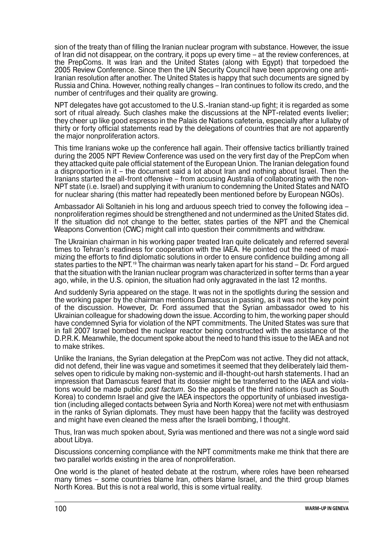sion of the treaty than of filling the Iranian nuclear program with substance. However, the issue of Iran did not disappear, on the contrary, it pops up every time – at the review conferences, at the PrepComs. It was Iran and the United States (along with Egypt) that torpedoed the 2005 Review Conference. Since then the UN Security Council have been approving one anti- Iranian resolution after another. The United States is happy that such documents are signed by Russia and China. However, nothing really changes – Iran continues to follow its credo, and the number of centrifuges and their quality are growing.

NPT delegates have got accustomed to the U.S.-Iranian stand-up fight; it is regarded as some sort of ritual already. Such clashes make the discussions at the NPT-related events livelier; they cheer up like good espresso in the Palais de Nations cafeteria, especially after a lullaby of thirty or forty official statements read by the delegations of countries that are not apparently the major nonproliferation actors.

This time Iranians woke up the conference hall again. Their offensive tactics brilliantly trained during the 2005 NPT Review Conference was used on the very first day of the PrepCom when they attacked quite pale official statement of the European Union. The Iranian delegation found a disproportion in it – the document said a lot about Iran and nothing about Israel. Then the Iranians started the all-front offensive – from accusing Australia of collaborating with the non- NPT state (i.e. Israel) and supplying it with uranium to condemning the United States and NATO for nuclear sharing (this matter had repeatedly been mentioned before by European NGOs).

Ambassador Ali Soltanieh in his long and arduous speech tried to convey the following idea – nonproliferation regimes should be strengthened and not undermined as the United States did. If the situation did not change to the better, states parties of the NPT and the Chemical Weapons Convention (CWC) might call into question their commitments and withdraw.

The Ukrainian chairman in his working paper treated Iran quite delicately and referred several times to Tehran's readiness for cooperation with the IAEA. He pointed out the need of maximizing the efforts to find diplomatic solutions in order to ensure confidence building among all states parties to the NPT.<sup>19</sup> The chairman was nearly taken apart for his stand – Dr. Ford argued that the situation with the Iranian nuclear program was characterized in softer terms than a year ago, while, in the U.S. opinion, the situation had only aggravated in the last 12 months.

And suddenly Syria appeared on the stage. It was not in the spotlights during the session and the working paper by the chairman mentions Damascus in passing, as it was not the key point of the discussion. However, Dr. Ford assumed that the Syrian ambassador owed to his Ukrainian colleague for shadowing down the issue. According to him, the working paper should have condemned Syria for violation of the NPT commitments. The United States was sure that in fall 2007 Israel bombed the nuclear reactor being constructed with the assistance of the D.P.R.K. Meanwhile, the document spoke about the need to hand this issue to the IAEA and not to make strikes.

Unlike the Iranians, the Syrian delegation at the PrepCom was not active. They did not attack, did not defend, their line was vague and sometimes it seemed that they deliberately laid them selves open to ridicule by making non-systemic and ill-thought-out harsh statements. I had an impression that Damascus feared that its dossier might be transferred to the IAEA and viola tions would be made public post factum. So the appeals of the third nations (such as South Korea) to condemn Israel and give the IAEA inspectors the opportunity of unbiased investiga tion (including alleged contacts between Syria and North Korea) were not met with enthusiasm in the ranks of Syrian diplomats. They must have been happy that the facility was destroyed and might have even cleaned the mess after the Israeli bombing, I thought.

Thus, Iran was much spoken about, Syria was mentioned and there was not a single word said about Libya.

Discussions concerning compliance with the NPT commitments make me think that there are two parallel worlds existing in the area of nonproliferation.

One world is the planet of heated debate at the rostrum, where roles have been rehearsed many times – some countries blame Iran, others blame Israel, and the third group blames North Korea. But this is not a real world, this is some virtual reality.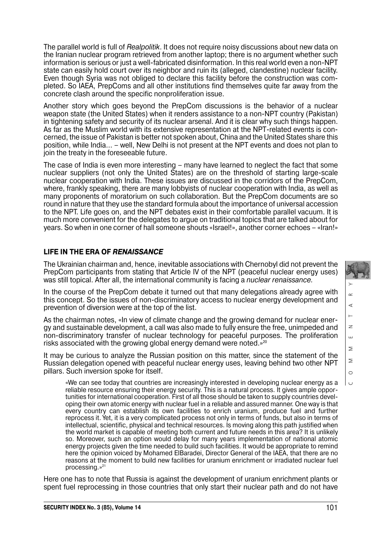The parallel world is full of *Realpolitik*. It does not require noisy discussions about new data on the Iranian nuclear program retrieved from another laptop; there is no argument whether such information is serious or just a well-fabricated disinformation. In this real world even a non-NPT state can easily hold court over its neighbor and ruin its (alleged, clandestine) nuclear facility. Even though Syria was not obliged to declare this facility before the construction was completed. So IAEA, PrepComs and all other institutions find themselves quite far away from the concrete clash around the specific nonproliferation issue.

Another story which goes beyond the PrepCom discussions is the behavior of a nuclear weapon state (the United States) when it renders assistance to a non-NPT country (Pakistan) in tightening safety and security of its nuclear arsenal. And it is clear why such things happen. As far as the Muslim world with its extensive representation at the NPT-related events is concerned, the issue of Pakistan is better not spoken about, China and the United States share this position, while India… – well, New Delhi is not present at the NPT events and does not plan to join the treaty in the foreseeable future.

The case of India is even more interesting – many have learned to neglect the fact that some nuclear suppliers (not only the United States) are on the threshold of starting large-scale nuclear cooperation with India. These issues are discussed in the corridors of the PrepCom, where, frankly speaking, there are many lobbyists of nuclear cooperation with India, as well as many proponents of moratorium on such collaboration. But the PrepCom documents are so round in nature that they use the standard formula about the importance of universal accession to the NPT. Life goes on, and the NPT debates exist in their comfortable parallel vacuum. It is much more convenient for the delegates to argue on traditional topics that are talked about for years. So when in one corner of hall someone shouts «Israel!», another corner echoes – «Iran!»

# **LIFE IN THE ERA OF** *RENAISSANCE*

The Ukrainian chairman and, hence, inevitable associations with Chernobyl did not prevent the PrepCom participants from stating that Article IV of the NPT (peaceful nuclear energy uses) was still topical. After all, the international community is facing a *nuclear renaissance*.

In the course of the PrepCom debate it turned out that many delegations already agree with this concept. So the issues of non-discriminatory access to nuclear energy development and prevention of diversion were at the top of the list.

As the chairman notes, «In view of climate change and the growing demand for nuclear ener gy and sustainable development, a call was also made to fully ensure the free, unimpeded and non-discriminatory transfer of nuclear technology for peaceful purposes. The proliferation risks associated with the growing global energy demand were noted.»<sup>20</sup>

It may be curious to analyze the Russian position on this matter, since the statement of the Russian delegation opened with peaceful nuclear energy uses, leaving behind two other NPT pillars. Such inversion spoke for itself.

«We can see today that countries are increasingly interested in developing nuclear energy as a reliable resource ensuring their energy security. This is a natural process. It gives ample oppor tunities for international cooperation. First of all those should be taken to supply countries devel oping their own atomic energy with nuclear fuel in a reliable and assured manner. One way is that every country can establish its own facilities to enrich uranium, produce fuel and further reprocess it. Yet, it is a very complicated process not only in terms of funds, but also in terms of intellectual, scientific, physical and technical resources. Is moving along this path justified when the world market is capable of meeting both current and future needs in this area? It is unlikely so. Moreover, such an option would delay for many years implementation of national atomic energy projects given the time needed to build such facilities. It would be appropriate to remind here the opinion voiced by Mohamed ElBaradei, Director General of the IAEA, that there are no reasons at the moment to build new facilities for uranium enrichment or irradiated nuclear fuel processing.»<sup>21</sup>

Here one has to note that Russia is against the development of uranium enrichment plants or spent fuel reprocessing in those countries that only start their nuclear path and do not have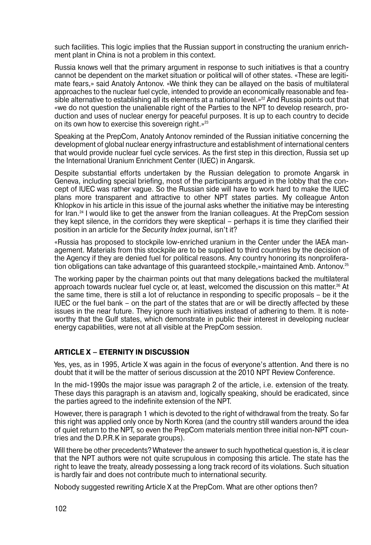such facilities. This logic implies that the Russian support in constructing the uranium enrichment plant in China is not a problem in this context.

Russia knows well that the primary argument in response to such initiatives is that a country cannot be dependent on the market situation or political will of other states. «These are legiti mate fears,» said Anatoly Antonov. «We think they can be allayed on the basis of multilateral approaches to the nuclear fuel cycle, intended to provide an economically reasonable and fea sible alternative to establishing all its elements at a national level.»<sup>22</sup> And Russia points out that «we do not question the unalienable right of the Parties to the NPT to develop research, pro duction and uses of nuclear energy for peaceful purposes. It is up to each country to decide on its own how to exercise this sovereign right.»<sup>23</sup>

Speaking at the PrepCom, Anatoly Antonov reminded of the Russian initiative concerning the development of global nuclear energy infrastructure and establishment of international centers that would provide nuclear fuel cycle services. As the first step in this direction, Russia set up the International Uranium Enrichment Center (IUEC) in Angarsk.

Despite substantial efforts undertaken by the Russian delegation to promote Angarsk in Geneva, including special briefing, most of the participants argued in the lobby that the concept of IUEC was rather vague. So the Russian side will have to work hard to make the IUEC plans more transparent and attractive to other NPT states parties. My colleague Anton Khlopkov in his article in this issue of the journal asks whether the initiative may be interesting for Iran.<sup>24</sup> I would like to get the answer from the Iranian colleagues. At the PrepCom session they kept silence, in the corridors they were skeptical – perhaps it is time they clarified their position in an article for the Security Index journal, isn't it?

«Russia has proposed to stockpile low-enriched uranium in the Center under the IAEA man agement. Materials from this stockpile are to be supplied to third countries by the decision of the Agency if they are denied fuel for political reasons. Any country honoring its nonproliferation obligations can take advantage of this guaranteed stockpile,» maintained Amb. Antonov.<sup>25</sup>

The working paper by the chairman points out that many delegations backed the multilateral approach towards nuclear fuel cycle or, at least, welcomed the discussion on this matter.<sup>26</sup> At the same time, there is still a lot of reluctance in responding to specific proposals – be it the IUEC or the fuel bank – on the part of the states that are or will be directly affected by these issues in the near future. They ignore such initiatives instead of adhering to them. It is note worthy that the Gulf states, which demonstrate in public their interest in developing nuclear energy capabilities, were not at all visible at the PrepCom session.

### **ARTICLE X – ETERNITY IN DISCUSSION**

Yes, yes, as in 1995, Article X was again in the focus of everyone's attention. And there is no doubt that it will be the matter of serious discussion at the 2010 NPT Review Conference.

In the mid-1990s the major issue was paragraph 2 of the article, i.e. extension of the treaty. These days this paragraph is an atavism and, logically speaking, should be eradicated, since the parties agreed to the indefinite extension of the NPT.

However, there is paragraph 1 which is devoted to the right of withdrawal from the treaty. So far this right was applied only once by North Korea (and the country still wanders around the idea of quiet return to the NPT, so even the PrepCom materials mention three initial non-NPT coun tries and the D.P.R.K in separate groups).

Will there be other precedents? Whatever the answer to such hypothetical question is, it is clear that the NPT authors were not quite scrupulous in composing this article. The state has the right to leave the treaty, already possessing a long track record of its violations. Such situation is hardly fair and does not contribute much to international security.

Nobody suggested rewriting Article X at the PrepCom. What are other options then?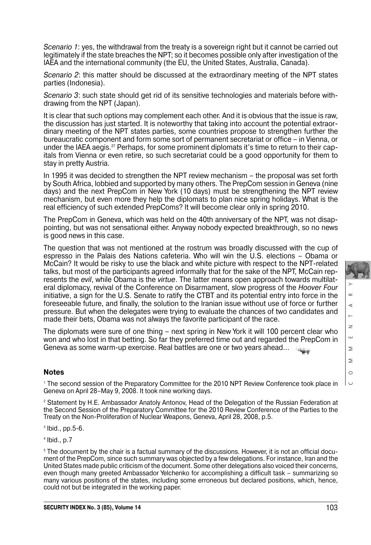Scenario 1: yes, the withdrawal from the treaty is a sovereign right but it cannot be carried out legitimately if the state breaches the NPT; so it becomes possible only after investigation of the IAEA and the international community (the EU, the United States, Australia, Canada).

Scenario 2: this matter should be discussed at the extraordinary meeting of the NPT states parties (Indonesia).

Scenario 3: such state should get rid of its sensitive technologies and materials before with drawing from the NPT (Japan).

It is clear that such options may complement each other. And it is obvious that the issue is raw, the discussion has just started. It is noteworthy that taking into account the potential extraordinary meeting of the NPT states parties, some countries propose to strengthen further the bureaucratic component and form some sort of permanent secretariat or office – in Vienna, or under the IAEA aegis.<sup>27</sup> Perhaps, for some prominent diplomats it's time to return to their capitals from Vienna or even retire, so such secretariat could be a good opportunity for them to stay in pretty Austria.

In 1995 it was decided to strengthen the NPT review mechanism – the proposal was set forth by South Africa, lobbied and supported by many others. The PrepCom session in Geneva (nine days) and the next PrepCom in New York (10 days) must be strengthening the NPT review mechanism, but even more they help the diplomats to plan nice spring holidays. What is the real efficiency of such extended PrepComs? It will become clear only in spring 2010.

The PrepCom in Geneva, which was held on the 40th anniversary of the NPT, was not disappointing, but was not sensational either. Anyway nobody expected breakthrough, so no news is good news in this case.

The question that was not mentioned at the rostrum was broadly discussed with the cup of espresso in the Palais des Nations cafeteria. Who will win the U.S. elections – Obama or McCain? It would be risky to use the black and white picture with respect to the NPT-related talks, but most of the participants agreed informally that for the sake of the NPT, McCain rep resents the evil, while Obama is the virtue. The latter means open approach towards multilateral diplomacy, revival of the Conference on Disarmament, slow progress of the Hoover Four initiative, a sign for the U.S. Senate to ratify the CTBT and its potential entry into force in the foreseeable future, and finally, the solution to the Iranian issue without use of force or further pressure. But when the delegates were trying to evaluate the chances of two candidates and made their bets, Obama was not always the favorite participant of the race.

The diplomats were sure of one thing – next spring in New York it will 100 percent clear who won and who lost in that betting. So far they preferred time out and regarded the PrepCom in Geneva as some warm-up exercise. Real battles are one or two years ahead…

#### **Notes**

<sup>1</sup> The second session of the Preparatory Committee for the 2010 NPT Review Conference took place in Geneva on April 28–May 9, 2008. It took nine working days.

<sup>2</sup> Statement by H.E. Ambassador Anatoly Antonov, Head of the Delegation of the Russian Federation at the Second Session of the Preparatory Committee for the 2010 Review Conference of the Parties to the Treaty on the Non-Proliferation of Nuclear Weapons, Geneva, April 28, 2008, p.5.

 $^{\circ}$  Ibid., pp.5-6.

<sup>4</sup> Ibid., p.7

 $^{\circ}$  The document by the chair is a factual summary of the discussions. However, it is not an official document of the PrepCom, since such summary was objected by a few delegations. For instance, Iran and the United States made public criticism of the document. Some other delegations also voiced their concerns, even though many greeted Ambassador Yelchenko for accomplishing a difficult task – summarizing so many various positions of the states, including some erroneous but declared positions, which, hence, could not but be integrated in the working paper.

COMMENTARY

 $\geq$  $\overline{1}$  $\geq$ Σ  $\circ$ 

 $\approx$ ∢